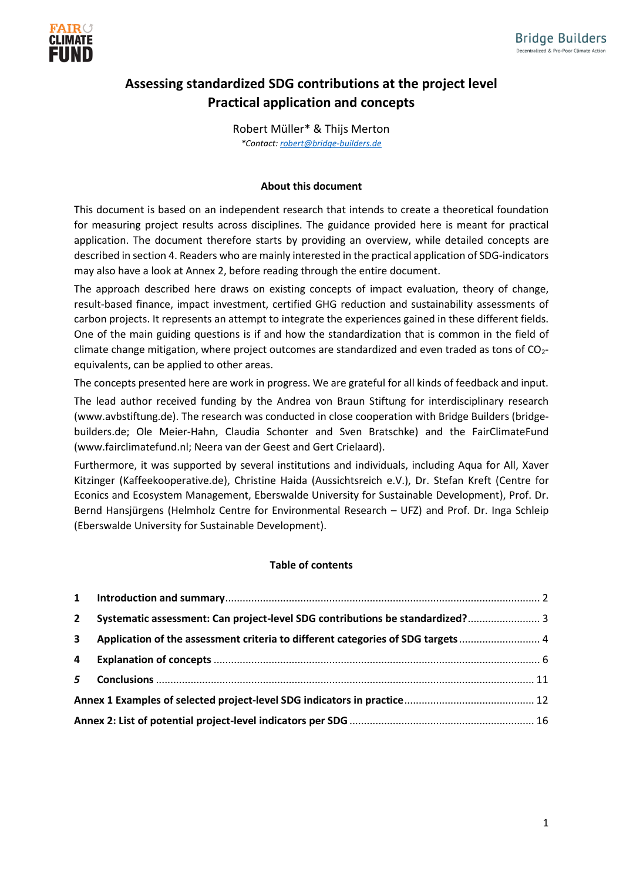

## **Assessing standardized SDG contributions at the project level Practical application and concepts**

Robert Müller\* & Thijs Merton *\*Contact: [robert@bridge-builders.de](mailto:robert@bridge-builders.de)*

#### **About this document**

This document is based on an independent research that intends to create a theoretical foundation for measuring project results across disciplines. The guidance provided here is meant for practical application. The document therefore starts by providing an overview, while detailed concepts are described in section 4. Readers who are mainly interested in the practical application of SDG-indicators may also have a look at Annex 2, before reading through the entire document.

The approach described here draws on existing concepts of impact evaluation, theory of change, result-based finance, impact investment, certified GHG reduction and sustainability assessments of carbon projects. It represents an attempt to integrate the experiences gained in these different fields. One of the main guiding questions is if and how the standardization that is common in the field of climate change mitigation, where project outcomes are standardized and even traded as tons of  $CO<sub>2</sub>$ equivalents, can be applied to other areas.

The concepts presented here are work in progress. We are grateful for all kinds of feedback and input.

The lead author received funding by the Andrea von Braun Stiftung for interdisciplinary research (www.avbstiftung.de). The research was conducted in close cooperation with Bridge Builders (bridgebuilders.de; Ole Meier-Hahn, Claudia Schonter and Sven Bratschke) and the FairClimateFund (www.fairclimatefund.nl; Neera van der Geest and Gert Crielaard).

Furthermore, it was supported by several institutions and individuals, including Aqua for All, Xaver Kitzinger (Kaffeekooperative.de), Christine Haida (Aussichtsreich e.V.), Dr. Stefan Kreft (Centre for Econics and Ecosystem Management, Eberswalde University for Sustainable Development), Prof. Dr. Bernd Hansjürgens (Helmholz Centre for Environmental Research – UFZ) and Prof. Dr. Inga Schleip (Eberswalde University for Sustainable Development).

#### **Table of contents**

| $2^{\circ}$             | Systematic assessment: Can project-level SDG contributions be standardized? 3    |  |
|-------------------------|----------------------------------------------------------------------------------|--|
| $\overline{\mathbf{3}}$ | Application of the assessment criteria to different categories of SDG targets  4 |  |
| 4                       |                                                                                  |  |
| 5 <sup>5</sup>          |                                                                                  |  |
|                         |                                                                                  |  |
|                         |                                                                                  |  |
|                         |                                                                                  |  |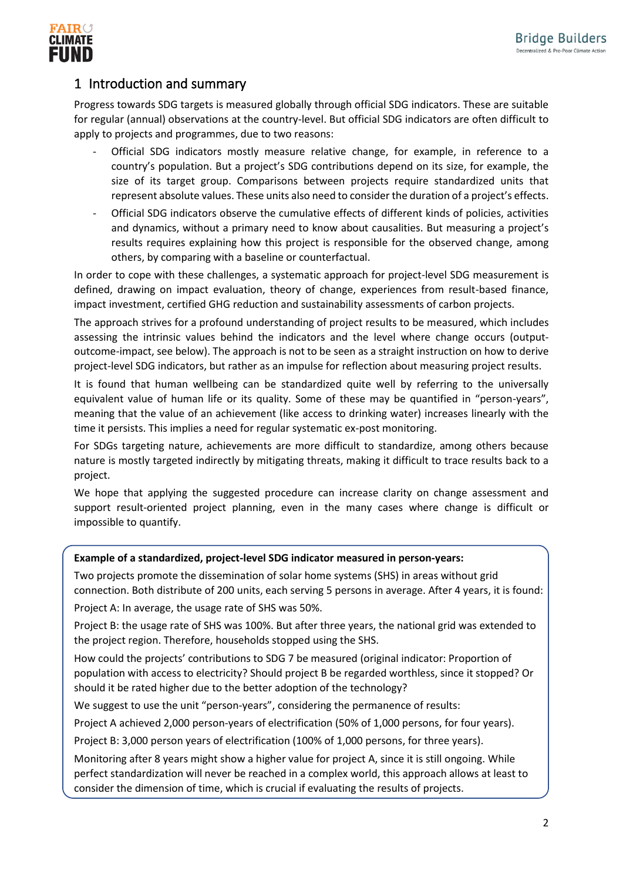

## <span id="page-1-0"></span>1 Introduction and summary

Progress towards SDG targets is measured globally through official SDG indicators. These are suitable for regular (annual) observations at the country-level. But official SDG indicators are often difficult to apply to projects and programmes, due to two reasons:

- Official SDG indicators mostly measure relative change, for example, in reference to a country's population. But a project's SDG contributions depend on its size, for example, the size of its target group. Comparisons between projects require standardized units that represent absolute values. These units also need to consider the duration of a project's effects.
- Official SDG indicators observe the cumulative effects of different kinds of policies, activities and dynamics, without a primary need to know about causalities. But measuring a project's results requires explaining how this project is responsible for the observed change, among others, by comparing with a baseline or counterfactual.

In order to cope with these challenges, a systematic approach for project-level SDG measurement is defined, drawing on impact evaluation, theory of change, experiences from result-based finance, impact investment, certified GHG reduction and sustainability assessments of carbon projects.

The approach strives for a profound understanding of project results to be measured, which includes assessing the intrinsic values behind the indicators and the level where change occurs (outputoutcome-impact, see below). The approach is not to be seen as a straight instruction on how to derive project-level SDG indicators, but rather as an impulse for reflection about measuring project results.

It is found that human wellbeing can be standardized quite well by referring to the universally equivalent value of human life or its quality. Some of these may be quantified in "person-years", meaning that the value of an achievement (like access to drinking water) increases linearly with the time it persists. This implies a need for regular systematic ex-post monitoring.

For SDGs targeting nature, achievements are more difficult to standardize, among others because nature is mostly targeted indirectly by mitigating threats, making it difficult to trace results back to a project.

We hope that applying the suggested procedure can increase clarity on change assessment and support result-oriented project planning, even in the many cases where change is difficult or impossible to quantify.

## **Example of a standardized, project-level SDG indicator measured in person-years:**

Two projects promote the dissemination of solar home systems (SHS) in areas without grid connection. Both distribute of 200 units, each serving 5 persons in average. After 4 years, it is found:

Project A: In average, the usage rate of SHS was 50%.

Project B: the usage rate of SHS was 100%. But after three years, the national grid was extended to the project region. Therefore, households stopped using the SHS.

How could the projects' contributions to SDG 7 be measured (original indicator: Proportion of population with access to electricity? Should project B be regarded worthless, since it stopped? Or should it be rated higher due to the better adoption of the technology?

We suggest to use the unit "person-years", considering the permanence of results:

Project A achieved 2,000 person-years of electrification (50% of 1,000 persons, for four years).

Project B: 3,000 person years of electrification (100% of 1,000 persons, for three years).

Monitoring after 8 years might show a higher value for project A, since it is still ongoing. While perfect standardization will never be reached in a complex world, this approach allows at least to consider the dimension of time, which is crucial if evaluating the results of projects.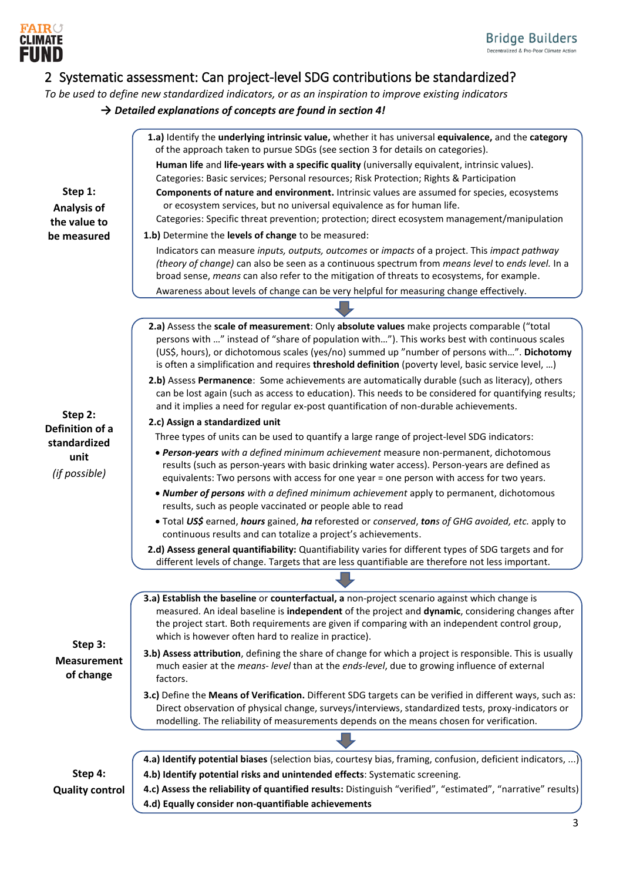

## <span id="page-2-0"></span>2 Systematic assessment: Can project-level SDG contributions be standardized?

*To be used to define new standardized indicators, or as an inspiration to improve existing indicators → Detailed explanations of concepts are found in section 4!*

|                            | 1.a) Identify the underlying intrinsic value, whether it has universal equivalence, and the category<br>of the approach taken to pursue SDGs (see section 3 for details on categories).                   |
|----------------------------|-----------------------------------------------------------------------------------------------------------------------------------------------------------------------------------------------------------|
|                            | Human life and life-years with a specific quality (universally equivalent, intrinsic values).                                                                                                             |
|                            | Categories: Basic services; Personal resources; Risk Protection; Rights & Participation                                                                                                                   |
| Step 1:                    | Components of nature and environment. Intrinsic values are assumed for species, ecosystems                                                                                                                |
| Analysis of                | or ecosystem services, but no universal equivalence as for human life.                                                                                                                                    |
| the value to               | Categories: Specific threat prevention; protection; direct ecosystem management/manipulation                                                                                                              |
| be measured                | 1.b) Determine the levels of change to be measured:                                                                                                                                                       |
|                            | Indicators can measure inputs, outputs, outcomes or impacts of a project. This impact pathway                                                                                                             |
|                            | (theory of change) can also be seen as a continuous spectrum from means level to ends level. In a                                                                                                         |
|                            | broad sense, means can also refer to the mitigation of threats to ecosystems, for example.                                                                                                                |
|                            | Awareness about levels of change can be very helpful for measuring change effectively.                                                                                                                    |
|                            |                                                                                                                                                                                                           |
|                            | 2.a) Assess the scale of measurement: Only absolute values make projects comparable ("total                                                                                                               |
|                            | persons with " instead of "share of population with"). This works best with continuous scales<br>(US\$, hours), or dichotomous scales (yes/no) summed up "number of persons with". Dichotomy              |
|                            | is often a simplification and requires threshold definition (poverty level, basic service level, )                                                                                                        |
|                            | 2.b) Assess Permanence: Some achievements are automatically durable (such as literacy), others                                                                                                            |
|                            | can be lost again (such as access to education). This needs to be considered for quantifying results;                                                                                                     |
|                            | and it implies a need for regular ex-post quantification of non-durable achievements.                                                                                                                     |
| Step 2:<br>Definition of a | 2.c) Assign a standardized unit                                                                                                                                                                           |
| standardized               | Three types of units can be used to quantify a large range of project-level SDG indicators:                                                                                                               |
| unit                       | • Person-years with a defined minimum achievement measure non-permanent, dichotomous                                                                                                                      |
| (if possible)              | results (such as person-years with basic drinking water access). Person-years are defined as                                                                                                              |
|                            | equivalents: Two persons with access for one year = one person with access for two years.                                                                                                                 |
|                            | . Number of persons with a defined minimum achievement apply to permanent, dichotomous<br>results, such as people vaccinated or people able to read                                                       |
|                            | . Total US\$ earned, hours gained, ha reforested or conserved, tons of GHG avoided, etc. apply to                                                                                                         |
|                            | continuous results and can totalize a project's achievements.                                                                                                                                             |
|                            | 2.d) Assess general quantifiability: Quantifiability varies for different types of SDG targets and for                                                                                                    |
|                            | different levels of change. Targets that are less quantifiable are therefore not less important.                                                                                                          |
|                            |                                                                                                                                                                                                           |
|                            | 3.a) Establish the baseline or counterfactual, a non-project scenario against which change is                                                                                                             |
|                            | measured. An ideal baseline is independent of the project and dynamic, considering changes after                                                                                                          |
|                            | the project start. Both requirements are given if comparing with an independent control group,<br>which is however often hard to realize in practice).                                                    |
| Step 3:                    |                                                                                                                                                                                                           |
| <b>Measurement</b>         | 3.b) Assess attribution, defining the share of change for which a project is responsible. This is usually<br>much easier at the means- level than at the ends-level, due to growing influence of external |
| of change                  | factors.                                                                                                                                                                                                  |
|                            | 3.c) Define the Means of Verification. Different SDG targets can be verified in different ways, such as:                                                                                                  |
|                            | Direct observation of physical change, surveys/interviews, standardized tests, proxy-indicators or                                                                                                        |
|                            | modelling. The reliability of measurements depends on the means chosen for verification.                                                                                                                  |
|                            |                                                                                                                                                                                                           |
|                            | 4.a) Identify potential biases (selection bias, courtesy bias, framing, confusion, deficient indicators, )                                                                                                |
| Step 4:                    | 4.b) Identify potential risks and unintended effects: Systematic screening.                                                                                                                               |
| <b>Quality control</b>     | 4.c) Assess the reliability of quantified results: Distinguish "verified", "estimated", "narrative" results)                                                                                              |
|                            | 4.d) Equally consider non-quantifiable achievements                                                                                                                                                       |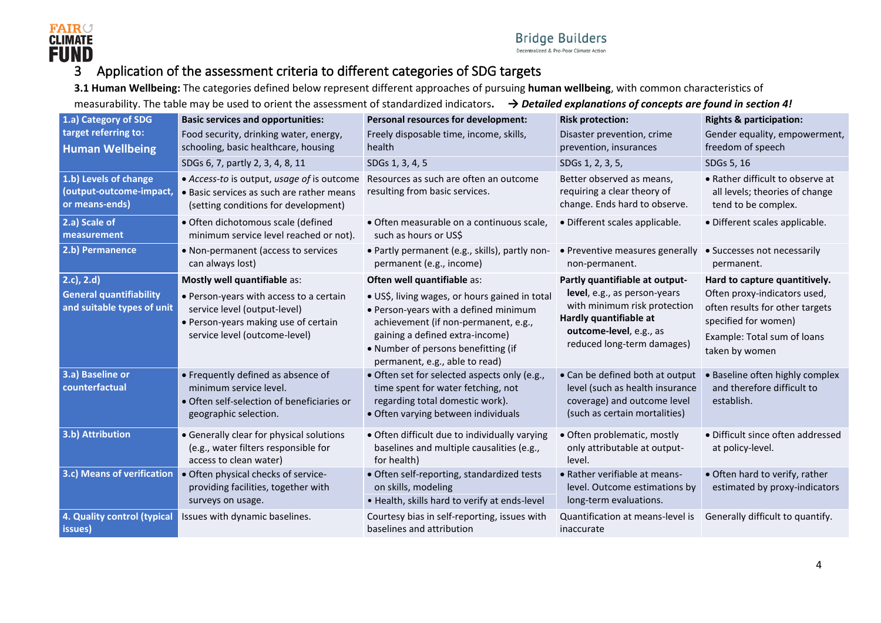

## 3 Application of the assessment criteria to different categories of SDG targets

**3.1 Human Wellbeing:** The categories defined below represent different approaches of pursuing **human wellbeing**, with common characteristics of

measurability. The table may be used to orient the assessment of standardized indicators**.** *→ Detailed explanations of concepts are found in section 4!*

<span id="page-3-0"></span>

| 1.a) Category of SDG                                                            | <b>Basic services and opportunities:</b>                                                                                                                                         | <b>Personal resources for development:</b>                                                                                                                                                                                                                                 | <b>Risk protection:</b>                                                                                                                                                           | <b>Rights &amp; participation:</b>                                                                                                                                        |
|---------------------------------------------------------------------------------|----------------------------------------------------------------------------------------------------------------------------------------------------------------------------------|----------------------------------------------------------------------------------------------------------------------------------------------------------------------------------------------------------------------------------------------------------------------------|-----------------------------------------------------------------------------------------------------------------------------------------------------------------------------------|---------------------------------------------------------------------------------------------------------------------------------------------------------------------------|
| target referring to:<br><b>Human Wellbeing</b>                                  | Food security, drinking water, energy,<br>schooling, basic healthcare, housing                                                                                                   | Freely disposable time, income, skills,<br>health                                                                                                                                                                                                                          | Disaster prevention, crime<br>prevention, insurances                                                                                                                              | Gender equality, empowerment,<br>freedom of speech                                                                                                                        |
|                                                                                 | SDGs 6, 7, partly 2, 3, 4, 8, 11                                                                                                                                                 | SDGs 1, 3, 4, 5                                                                                                                                                                                                                                                            | SDGs 1, 2, 3, 5,                                                                                                                                                                  | SDGs 5, 16                                                                                                                                                                |
| 1.b) Levels of change<br>(output-outcome-impact,<br>or means-ends)              | • Access-to is output, usage of is outcome<br>• Basic services as such are rather means<br>(setting conditions for development)                                                  | Resources as such are often an outcome<br>resulting from basic services.                                                                                                                                                                                                   | Better observed as means,<br>requiring a clear theory of<br>change. Ends hard to observe.                                                                                         | • Rather difficult to observe at<br>all levels; theories of change<br>tend to be complex.                                                                                 |
| 2.a) Scale of<br>measurement                                                    | · Often dichotomous scale (defined<br>minimum service level reached or not).                                                                                                     | · Often measurable on a continuous scale,<br>such as hours or US\$                                                                                                                                                                                                         | · Different scales applicable.                                                                                                                                                    | · Different scales applicable.                                                                                                                                            |
| 2.b) Permanence                                                                 | • Non-permanent (access to services<br>can always lost)                                                                                                                          | · Partly permanent (e.g., skills), partly non-<br>permanent (e.g., income)                                                                                                                                                                                                 | • Preventive measures generally<br>non-permanent.                                                                                                                                 | • Successes not necessarily<br>permanent.                                                                                                                                 |
| $2.c$ , $2.d$ )<br><b>General quantifiability</b><br>and suitable types of unit | Mostly well quantifiable as:<br>• Person-years with access to a certain<br>service level (output-level)<br>• Person-years making use of certain<br>service level (outcome-level) | Often well quantifiable as:<br>· US\$, living wages, or hours gained in total<br>• Person-years with a defined minimum<br>achievement (if non-permanent, e.g.,<br>gaining a defined extra-income)<br>• Number of persons benefitting (if<br>permanent, e.g., able to read) | Partly quantifiable at output-<br>level, e.g., as person-years<br>with minimum risk protection<br>Hardly quantifiable at<br>outcome-level, e.g., as<br>reduced long-term damages) | Hard to capture quantitively.<br>Often proxy-indicators used,<br>often results for other targets<br>specified for women)<br>Example: Total sum of loans<br>taken by women |
| 3.a) Baseline or<br>counterfactual                                              | • Frequently defined as absence of<br>minimum service level.<br>• Often self-selection of beneficiaries or<br>geographic selection.                                              | • Often set for selected aspects only (e.g.,<br>time spent for water fetching, not<br>regarding total domestic work).<br>• Often varying between individuals                                                                                                               | • Can be defined both at output<br>level (such as health insurance<br>coverage) and outcome level<br>(such as certain mortalities)                                                | <b>Baseline often highly complex</b><br>and therefore difficult to<br>establish.                                                                                          |
| 3.b) Attribution                                                                | • Generally clear for physical solutions<br>(e.g., water filters responsible for<br>access to clean water)                                                                       | • Often difficult due to individually varying<br>baselines and multiple causalities (e.g.,<br>for health)                                                                                                                                                                  | · Often problematic, mostly<br>only attributable at output-<br>level.                                                                                                             | • Difficult since often addressed<br>at policy-level.                                                                                                                     |
| 3.c) Means of verification                                                      | • Often physical checks of service-<br>providing facilities, together with<br>surveys on usage.                                                                                  | • Often self-reporting, standardized tests<br>on skills, modeling<br>. Health, skills hard to verify at ends-level                                                                                                                                                         | • Rather verifiable at means-<br>level. Outcome estimations by<br>long-term evaluations.                                                                                          | • Often hard to verify, rather<br>estimated by proxy-indicators                                                                                                           |
| 4. Quality control (typical<br>issues)                                          | Issues with dynamic baselines.                                                                                                                                                   | Courtesy bias in self-reporting, issues with<br>baselines and attribution                                                                                                                                                                                                  | Quantification at means-level is<br>inaccurate                                                                                                                                    | Generally difficult to quantify.                                                                                                                                          |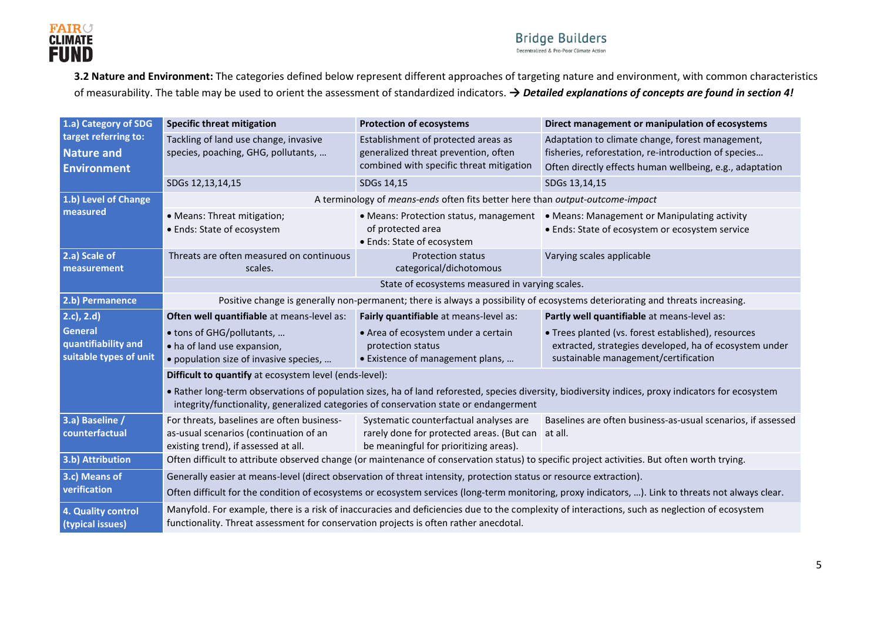

#### **Bridge Builders** Decentralized & Pro-Poor Climate Action

**3.2 Nature and Environment:** The categories defined below represent different approaches of targeting nature and environment, with common characteristics of measurability. The table may be used to orient the assessment of standardized indicators. *→ Detailed explanations of concepts are found in section 4!*

| 1.a) Category of SDG                          | <b>Specific threat mitigation</b>                                                                                                                                                                                                       | <b>Protection of ecosystems</b>                                                                                                       | Direct management or manipulation of ecosystems                                                                                                     |
|-----------------------------------------------|-----------------------------------------------------------------------------------------------------------------------------------------------------------------------------------------------------------------------------------------|---------------------------------------------------------------------------------------------------------------------------------------|-----------------------------------------------------------------------------------------------------------------------------------------------------|
| target referring to:<br><b>Nature and</b>     | Tackling of land use change, invasive<br>species, poaching, GHG, pollutants,                                                                                                                                                            | Establishment of protected areas as<br>generalized threat prevention, often                                                           | Adaptation to climate change, forest management,<br>fisheries, reforestation, re-introduction of species                                            |
| <b>Environment</b>                            |                                                                                                                                                                                                                                         | combined with specific threat mitigation                                                                                              | Often directly effects human wellbeing, e.g., adaptation                                                                                            |
|                                               | SDGs 12,13,14,15                                                                                                                                                                                                                        | SDGs 14,15                                                                                                                            | SDGs 13,14,15                                                                                                                                       |
| 1.b) Level of Change                          |                                                                                                                                                                                                                                         | A terminology of means-ends often fits better here than output-outcome-impact                                                         |                                                                                                                                                     |
| measured                                      | • Means: Threat mitigation;<br>• Ends: State of ecosystem                                                                                                                                                                               | • Means: Protection status, management<br>of protected area<br>• Ends: State of ecosystem                                             | • Means: Management or Manipulating activity<br>• Ends: State of ecosystem or ecosystem service                                                     |
| 2.a) Scale of<br>measurement                  | Threats are often measured on continuous<br>scales.                                                                                                                                                                                     | <b>Protection status</b><br>categorical/dichotomous                                                                                   | Varying scales applicable                                                                                                                           |
|                                               | State of ecosystems measured in varying scales.                                                                                                                                                                                         |                                                                                                                                       |                                                                                                                                                     |
| 2.b) Permanence                               | Positive change is generally non-permanent; there is always a possibility of ecosystems deteriorating and threats increasing.                                                                                                           |                                                                                                                                       |                                                                                                                                                     |
| (2.c), 2.d)                                   | Often well quantifiable at means-level as:                                                                                                                                                                                              | Fairly quantifiable at means-level as:                                                                                                | Partly well quantifiable at means-level as:                                                                                                         |
| General                                       | • tons of GHG/pollutants,                                                                                                                                                                                                               | • Area of ecosystem under a certain                                                                                                   | • Trees planted (vs. forest established), resources                                                                                                 |
| quantifiability and<br>suitable types of unit | • ha of land use expansion,<br>• population size of invasive species,                                                                                                                                                                   | protection status<br>• Existence of management plans,                                                                                 | extracted, strategies developed, ha of ecosystem under<br>sustainable management/certification                                                      |
|                                               | Difficult to quantify at ecosystem level (ends-level):                                                                                                                                                                                  |                                                                                                                                       |                                                                                                                                                     |
|                                               | integrity/functionality, generalized categories of conservation state or endangerment                                                                                                                                                   |                                                                                                                                       | • Rather long-term observations of population sizes, ha of land reforested, species diversity, biodiversity indices, proxy indicators for ecosystem |
| 3.a) Baseline /<br>counterfactual             | For threats, baselines are often business-<br>as-usual scenarios (continuation of an<br>existing trend), if assessed at all.                                                                                                            | Systematic counterfactual analyses are<br>rarely done for protected areas. (But can at all.<br>be meaningful for prioritizing areas). | Baselines are often business-as-usual scenarios, if assessed                                                                                        |
| 3.b) Attribution                              | Often difficult to attribute observed change (or maintenance of conservation status) to specific project activities. But often worth trying.                                                                                            |                                                                                                                                       |                                                                                                                                                     |
| 3.c) Means of                                 | Generally easier at means-level (direct observation of threat intensity, protection status or resource extraction).                                                                                                                     |                                                                                                                                       |                                                                                                                                                     |
| verification                                  |                                                                                                                                                                                                                                         |                                                                                                                                       | Often difficult for the condition of ecosystems or ecosystem services (long-term monitoring, proxy indicators, ). Link to threats not always clear. |
| 4. Quality control<br>(typical issues)        | Manyfold. For example, there is a risk of inaccuracies and deficiencies due to the complexity of interactions, such as neglection of ecosystem<br>functionality. Threat assessment for conservation projects is often rather anecdotal. |                                                                                                                                       |                                                                                                                                                     |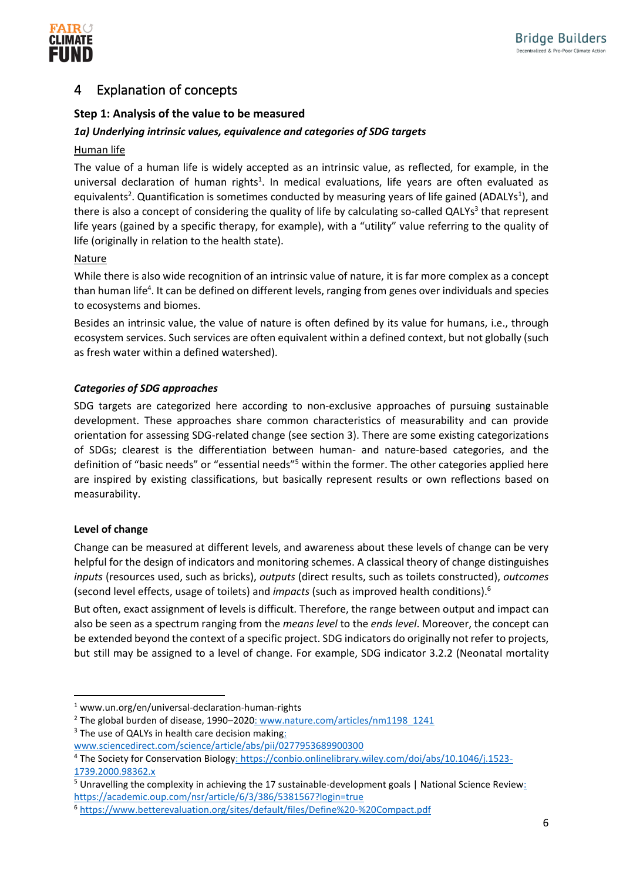

## <span id="page-5-0"></span>4 Explanation of concepts

## **Step 1: Analysis of the value to be measured**

## *1a) Underlying intrinsic values, equivalence and categories of SDG targets*

## Human life

The value of a human life is widely accepted as an intrinsic value, as reflected, for example, in the universal declaration of human rights<sup>1</sup>. In medical evaluations, life years are often evaluated as equivalents<sup>2</sup>. Quantification is sometimes conducted by measuring years of life gained (ADALYs<sup>1</sup>), and there is also a concept of considering the quality of life by calculating so-called QALYs<sup>3</sup> that represent life years (gained by a specific therapy, for example), with a "utility" value referring to the quality of life (originally in relation to the health state).

## Nature

While there is also wide recognition of an intrinsic value of nature, it is far more complex as a concept than human life<sup>4</sup>. It can be defined on different levels, ranging from genes over individuals and species to ecosystems and biomes.

Besides an intrinsic value, the value of nature is often defined by its value for humans, i.e., through ecosystem services. Such services are often equivalent within a defined context, but not globally (such as fresh water within a defined watershed).

## *Categories of SDG approaches*

SDG targets are categorized here according to non-exclusive approaches of pursuing sustainable development. These approaches share common characteristics of measurability and can provide orientation for assessing SDG-related change (see section 3). There are some existing categorizations of SDGs; clearest is the differentiation between human- and nature-based categories, and the definition of "basic needs" or "essential needs"<sup>5</sup> within the former. The other categories applied here are inspired by existing classifications, but basically represent results or own reflections based on measurability.

## **Level of change**

Change can be measured at different levels, and awareness about these levels of change can be very helpful for the design of indicators and monitoring schemes. A classical theory of change distinguishes *inputs* (resources used, such as bricks), *outputs* (direct results, such as toilets constructed), *outcomes* (second level effects, usage of toilets) and *impacts* (such as improved health conditions).<sup>6</sup>

But often, exact assignment of levels is difficult. Therefore, the range between output and impact can also be seen as a spectrum ranging from the *means level* to the *ends level*. Moreover, the concept can be extended beyond the context of a specific project. SDG indicators do originally not refer to projects, but still may be assigned to a level of change. For example, SDG indicator 3.2.2 (Neonatal mortality

<sup>1</sup> www.un.org/en/universal-declaration-human-rights

<sup>&</sup>lt;sup>2</sup> The global burden of disease, 1990-2020: www.nature.com/articles/nm1198\_1241  $3$  The use of QALYs in health care decision making:

www.sciencedirect.com/science/article/abs/pii/0277953689900300

<sup>4</sup> The Society for Conservation Biology: https://conbio.onlinelibrary.wiley.com/doi/abs/10.1046/j.1523- 1739.2000.98362.x

<sup>5</sup> Unravelling the complexity in achieving the 17 sustainable-development goals | National Science Review: https://academic.oup.com/nsr/article/6/3/386/5381567?login=true

<sup>6</sup> https://www.betterevaluation.org/sites/default/files/Define%20-%20Compact.pdf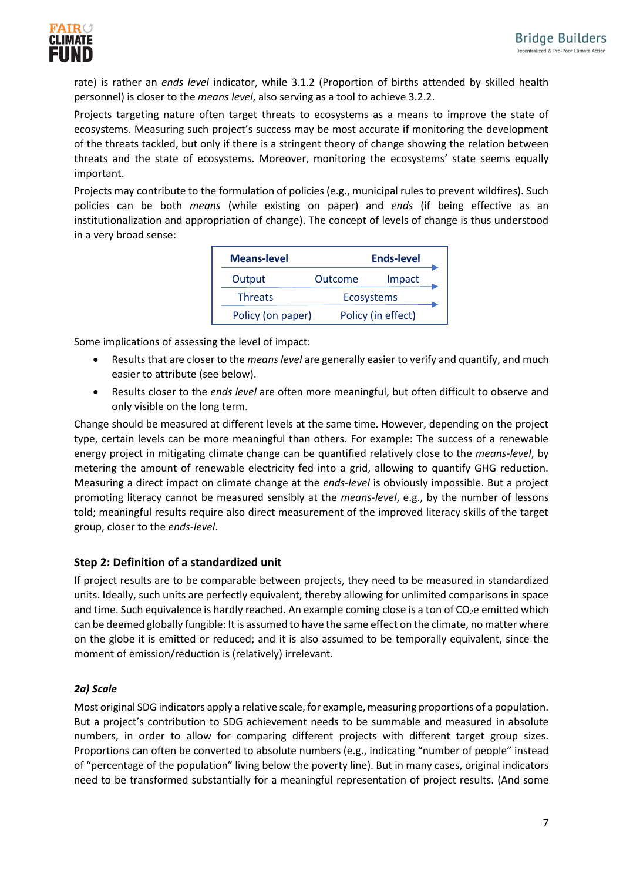

rate) is rather an *ends level* indicator, while 3.1.2 (Proportion of births attended by skilled health personnel) is closer to the *means level*, also serving as a tool to achieve 3.2.2.

Projects targeting nature often target threats to ecosystems as a means to improve the state of ecosystems. Measuring such project's success may be most accurate if monitoring the development of the threats tackled, but only if there is a stringent theory of change showing the relation between threats and the state of ecosystems. Moreover, monitoring the ecosystems' state seems equally important.

Projects may contribute to the formulation of policies (e.g., municipal rules to prevent wildfires). Such policies can be both *means* (while existing on paper) and *ends* (if being effective as an institutionalization and appropriation of change). The concept of levels of change is thus understood in a very broad sense:

| <b>Means-level</b> |                   | <b>Ends-level</b>  |
|--------------------|-------------------|--------------------|
| Output             | Outcome           | Impact             |
| <b>Threats</b>     | <b>Ecosystems</b> |                    |
| Policy (on paper)  |                   | Policy (in effect) |

Some implications of assessing the level of impact:

- Results that are closer to the *means level* are generally easier to verify and quantify, and much easier to attribute (see below).
- Results closer to the *ends level* are often more meaningful, but often difficult to observe and only visible on the long term.

Change should be measured at different levels at the same time. However, depending on the project type, certain levels can be more meaningful than others. For example: The success of a renewable energy project in mitigating climate change can be quantified relatively close to the *means-level*, by metering the amount of renewable electricity fed into a grid, allowing to quantify GHG reduction. Measuring a direct impact on climate change at the *ends-level* is obviously impossible. But a project promoting literacy cannot be measured sensibly at the *means-level*, e.g., by the number of lessons told; meaningful results require also direct measurement of the improved literacy skills of the target group, closer to the *ends-level*.

## **Step 2: Definition of a standardized unit**

If project results are to be comparable between projects, they need to be measured in standardized units. Ideally, such units are perfectly equivalent, thereby allowing for unlimited comparisons in space and time. Such equivalence is hardly reached. An example coming close is a ton of  $CO<sub>2</sub>e$  emitted which can be deemed globally fungible: It is assumed to have the same effect on the climate, no matter where on the globe it is emitted or reduced; and it is also assumed to be temporally equivalent, since the moment of emission/reduction is (relatively) irrelevant.

## *2a) Scale*

Most original SDG indicators apply a relative scale, for example, measuring proportions of a population. But a project's contribution to SDG achievement needs to be summable and measured in absolute numbers, in order to allow for comparing different projects with different target group sizes. Proportions can often be converted to absolute numbers (e.g., indicating "number of people" instead of "percentage of the population" living below the poverty line). But in many cases, original indicators need to be transformed substantially for a meaningful representation of project results. (And some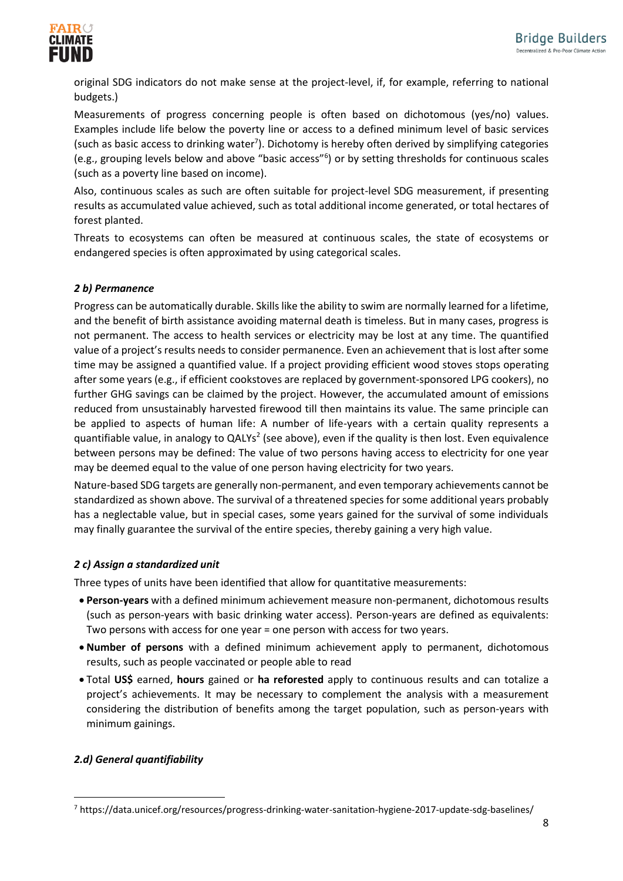

original SDG indicators do not make sense at the project-level, if, for example, referring to national budgets.)

Measurements of progress concerning people is often based on dichotomous (yes/no) values. Examples include life below the poverty line or access to a defined minimum level of basic services (such as basic access to drinking water<sup>7</sup>). Dichotomy is hereby often derived by simplifying categories (e.g., grouping levels below and above "basic access"<sup>6</sup> ) or by setting thresholds for continuous scales (such as a poverty line based on income).

Also, continuous scales as such are often suitable for project-level SDG measurement, if presenting results as accumulated value achieved, such as total additional income generated, or total hectares of forest planted.

Threats to ecosystems can often be measured at continuous scales, the state of ecosystems or endangered species is often approximated by using categorical scales.

#### *2 b) Permanence*

Progress can be automatically durable. Skills like the ability to swim are normally learned for a lifetime, and the benefit of birth assistance avoiding maternal death is timeless. But in many cases, progress is not permanent. The access to health services or electricity may be lost at any time. The quantified value of a project's results needs to consider permanence. Even an achievement that is lost after some time may be assigned a quantified value. If a project providing efficient wood stoves stops operating after some years (e.g., if efficient cookstoves are replaced by government-sponsored LPG cookers), no further GHG savings can be claimed by the project. However, the accumulated amount of emissions reduced from unsustainably harvested firewood till then maintains its value. The same principle can be applied to aspects of human life: A number of life-years with a certain quality represents a quantifiable value, in analogy to QALYs<sup>2</sup> (see above), even if the quality is then lost. Even equivalence between persons may be defined: The value of two persons having access to electricity for one year may be deemed equal to the value of one person having electricity for two years.

Nature-based SDG targets are generally non-permanent, and even temporary achievements cannot be standardized as shown above. The survival of a threatened species for some additional years probably has a neglectable value, but in special cases, some years gained for the survival of some individuals may finally guarantee the survival of the entire species, thereby gaining a very high value.

#### *2 c) Assign a standardized unit*

Three types of units have been identified that allow for quantitative measurements:

- **Person-years** with a defined minimum achievement measure non-permanent, dichotomous results (such as person-years with basic drinking water access). Person-years are defined as equivalents: Two persons with access for one year = one person with access for two years.
- **Number of persons** with a defined minimum achievement apply to permanent, dichotomous results, such as people vaccinated or people able to read
- Total **US\$** earned, **hours** gained or **ha reforested** apply to continuous results and can totalize a project's achievements. It may be necessary to complement the analysis with a measurement considering the distribution of benefits among the target population, such as person-years with minimum gainings.

#### *2.d) General quantifiability*

<sup>7</sup> https://data.unicef.org/resources/progress-drinking-water-sanitation-hygiene-2017-update-sdg-baselines/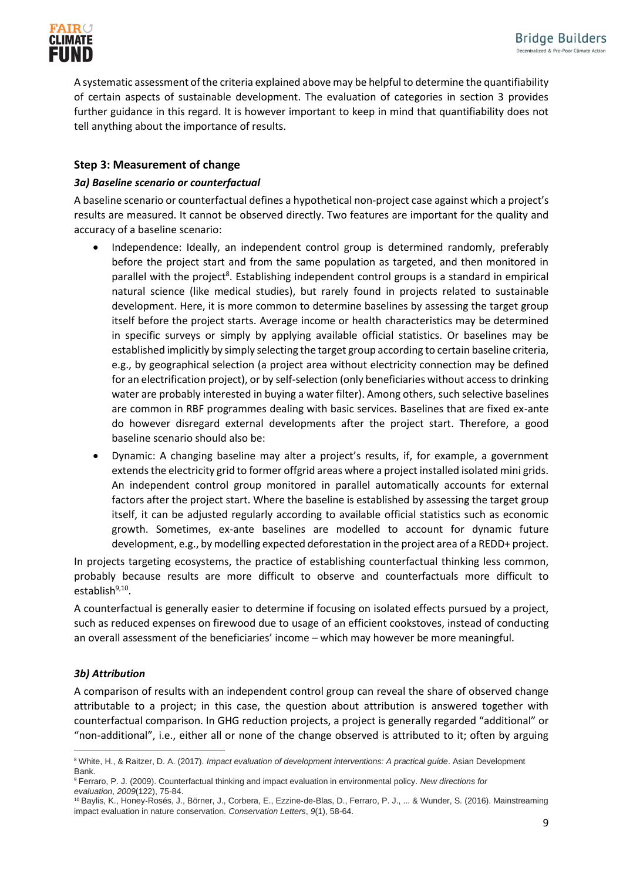

A systematic assessment of the criteria explained above may be helpful to determine the quantifiability of certain aspects of sustainable development. The evaluation of categories in section 3 provides further guidance in this regard. It is however important to keep in mind that quantifiability does not tell anything about the importance of results.

### **Step 3: Measurement of change**

#### *3a) Baseline scenario or counterfactual*

A baseline scenario or counterfactual defines a hypothetical non-project case against which a project's results are measured. It cannot be observed directly. Two features are important for the quality and accuracy of a baseline scenario:

- Independence: Ideally, an independent control group is determined randomly, preferably before the project start and from the same population as targeted, and then monitored in parallel with the project<sup>8</sup>. Establishing independent control groups is a standard in empirical natural science (like medical studies), but rarely found in projects related to sustainable development. Here, it is more common to determine baselines by assessing the target group itself before the project starts. Average income or health characteristics may be determined in specific surveys or simply by applying available official statistics. Or baselines may be established implicitly by simply selecting the target group according to certain baseline criteria, e.g., by geographical selection (a project area without electricity connection may be defined for an electrification project), or by self-selection (only beneficiaries without access to drinking water are probably interested in buying a water filter). Among others, such selective baselines are common in RBF programmes dealing with basic services. Baselines that are fixed ex-ante do however disregard external developments after the project start. Therefore, a good baseline scenario should also be:
- Dynamic: A changing baseline may alter a project's results, if, for example, a government extends the electricity grid to former offgrid areas where a project installed isolated mini grids. An independent control group monitored in parallel automatically accounts for external factors after the project start. Where the baseline is established by assessing the target group itself, it can be adjusted regularly according to available official statistics such as economic growth. Sometimes, ex-ante baselines are modelled to account for dynamic future development, e.g., by modelling expected deforestation in the project area of a REDD+ project.

In projects targeting ecosystems, the practice of establishing counterfactual thinking less common, probably because results are more difficult to observe and counterfactuals more difficult to establish<sup>9,10</sup>.

A counterfactual is generally easier to determine if focusing on isolated effects pursued by a project, such as reduced expenses on firewood due to usage of an efficient cookstoves, instead of conducting an overall assessment of the beneficiaries' income – which may however be more meaningful.

#### *3b) Attribution*

A comparison of results with an independent control group can reveal the share of observed change attributable to a project; in this case, the question about attribution is answered together with counterfactual comparison. In GHG reduction projects, a project is generally regarded "additional" or "non-additional", i.e., either all or none of the change observed is attributed to it; often by arguing

<sup>8</sup> White, H., & Raitzer, D. A. (2017). *Impact evaluation of development interventions: A practical guide*. Asian Development Bank.

<sup>9</sup> Ferraro, P. J. (2009). Counterfactual thinking and impact evaluation in environmental policy. *New directions for evaluation*, *2009*(122), 75-84.

<sup>10</sup> Baylis, K., Honey‐Rosés, J., Börner, J., Corbera, E., Ezzine‐de‐Blas, D., Ferraro, P. J., ... & Wunder, S. (2016). Mainstreaming impact evaluation in nature conservation. *Conservation Letters*, *9*(1), 58-64.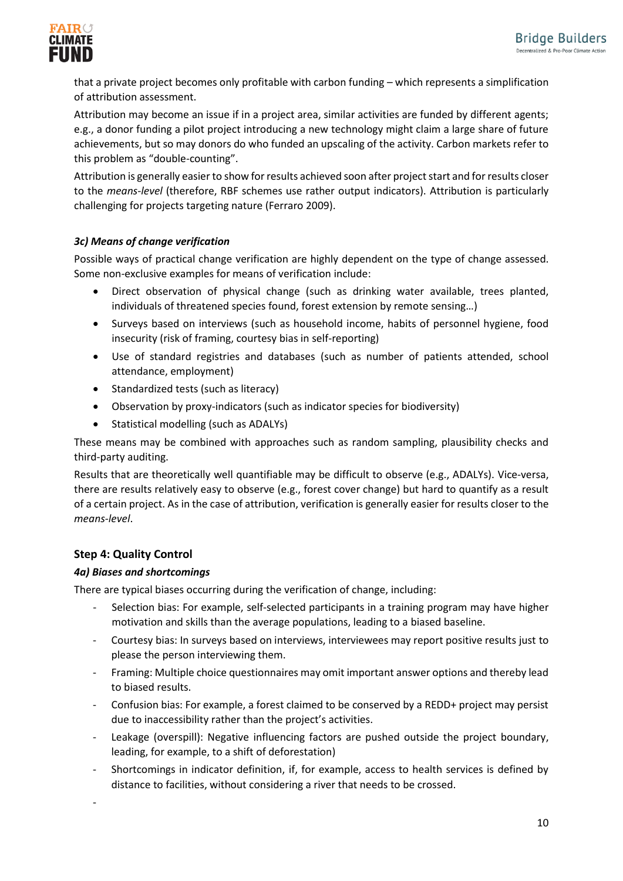

that a private project becomes only profitable with carbon funding – which represents a simplification of attribution assessment.

Attribution may become an issue if in a project area, similar activities are funded by different agents; e.g., a donor funding a pilot project introducing a new technology might claim a large share of future achievements, but so may donors do who funded an upscaling of the activity. Carbon markets refer to this problem as "double-counting".

Attribution is generally easier to show for results achieved soon after project start and for results closer to the *means-level* (therefore, RBF schemes use rather output indicators). Attribution is particularly challenging for projects targeting nature (Ferraro 2009).

## *3c) Means of change verification*

Possible ways of practical change verification are highly dependent on the type of change assessed. Some non-exclusive examples for means of verification include:

- Direct observation of physical change (such as drinking water available, trees planted, individuals of threatened species found, forest extension by remote sensing…)
- Surveys based on interviews (such as household income, habits of personnel hygiene, food insecurity (risk of framing, courtesy bias in self-reporting)
- Use of standard registries and databases (such as number of patients attended, school attendance, employment)
- Standardized tests (such as literacy)
- Observation by proxy-indicators (such as indicator species for biodiversity)
- Statistical modelling (such as ADALYs)

These means may be combined with approaches such as random sampling, plausibility checks and third-party auditing.

Results that are theoretically well quantifiable may be difficult to observe (e.g., ADALYs). Vice-versa, there are results relatively easy to observe (e.g., forest cover change) but hard to quantify as a result of a certain project. As in the case of attribution, verification is generally easier for results closer to the *means-level*.

## **Step 4: Quality Control**

-

## *4a) Biases and shortcomings*

There are typical biases occurring during the verification of change, including:

- Selection bias: For example, self-selected participants in a training program may have higher motivation and skills than the average populations, leading to a biased baseline.
- Courtesy bias: In surveys based on interviews, interviewees may report positive results just to please the person interviewing them.
- Framing: Multiple choice questionnaires may omit important answer options and thereby lead to biased results.
- Confusion bias: For example, a forest claimed to be conserved by a REDD+ project may persist due to inaccessibility rather than the project's activities.
- Leakage (overspill): Negative influencing factors are pushed outside the project boundary, leading, for example, to a shift of deforestation)
- Shortcomings in indicator definition, if, for example, access to health services is defined by distance to facilities, without considering a river that needs to be crossed.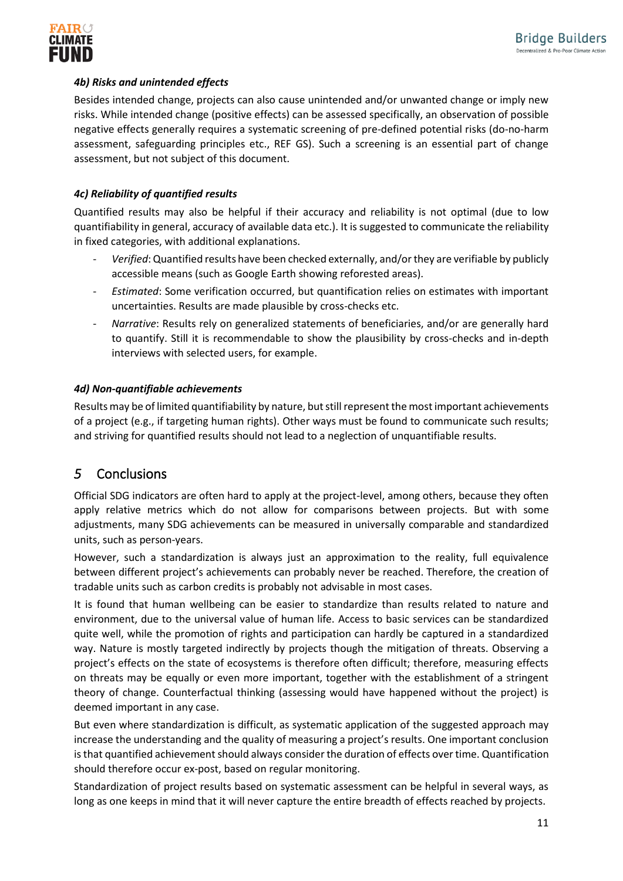

### *4b) Risks and unintended effects*

Besides intended change, projects can also cause unintended and/or unwanted change or imply new risks. While intended change (positive effects) can be assessed specifically, an observation of possible negative effects generally requires a systematic screening of pre-defined potential risks (do-no-harm assessment, safeguarding principles etc., REF GS). Such a screening is an essential part of change assessment, but not subject of this document.

### *4c) Reliability of quantified results*

Quantified results may also be helpful if their accuracy and reliability is not optimal (due to low quantifiability in general, accuracy of available data etc.). It is suggested to communicate the reliability in fixed categories, with additional explanations.

- *Verified*: Quantified results have been checked externally, and/or they are verifiable by publicly accessible means (such as Google Earth showing reforested areas).
- *Estimated*: Some verification occurred, but quantification relies on estimates with important uncertainties. Results are made plausible by cross-checks etc.
- *Narrative*: Results rely on generalized statements of beneficiaries, and/or are generally hard to quantify. Still it is recommendable to show the plausibility by cross-checks and in-depth interviews with selected users, for example.

#### *4d) Non-quantifiable achievements*

Results may be of limited quantifiability by nature, but still represent the most important achievements of a project (e.g., if targeting human rights). Other ways must be found to communicate such results; and striving for quantified results should not lead to a neglection of unquantifiable results.

## <span id="page-10-0"></span>*5* Conclusions

Official SDG indicators are often hard to apply at the project-level, among others, because they often apply relative metrics which do not allow for comparisons between projects. But with some adjustments, many SDG achievements can be measured in universally comparable and standardized units, such as person-years.

However, such a standardization is always just an approximation to the reality, full equivalence between different project's achievements can probably never be reached. Therefore, the creation of tradable units such as carbon credits is probably not advisable in most cases.

It is found that human wellbeing can be easier to standardize than results related to nature and environment, due to the universal value of human life. Access to basic services can be standardized quite well, while the promotion of rights and participation can hardly be captured in a standardized way. Nature is mostly targeted indirectly by projects though the mitigation of threats. Observing a project's effects on the state of ecosystems is therefore often difficult; therefore, measuring effects on threats may be equally or even more important, together with the establishment of a stringent theory of change. Counterfactual thinking (assessing would have happened without the project) is deemed important in any case.

But even where standardization is difficult, as systematic application of the suggested approach may increase the understanding and the quality of measuring a project's results. One important conclusion is that quantified achievement should always consider the duration of effects over time. Quantification should therefore occur ex-post, based on regular monitoring.

Standardization of project results based on systematic assessment can be helpful in several ways, as long as one keeps in mind that it will never capture the entire breadth of effects reached by projects.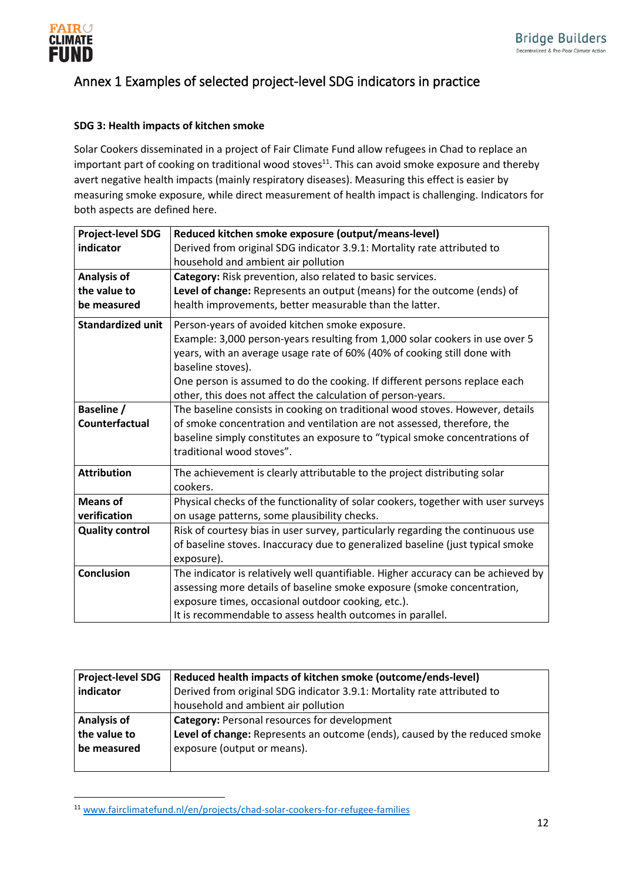

## <span id="page-11-0"></span>Annex 1 Examples of selected project-level SDG indicators in practice

### **SDG 3: Health impacts of kitchen smoke**

Solar Cookers disseminated in a project of Fair Climate Fund allow refugees in Chad to replace an important part of cooking on traditional wood stoves $^{11}$ . This can avoid smoke exposure and thereby avert negative health impacts (mainly respiratory diseases). Measuring this effect is easier by measuring smoke exposure, while direct measurement of health impact is challenging. Indicators for both aspects are defined here.

| <b>Project-level SDG</b> | Reduced kitchen smoke exposure (output/means-level)                               |
|--------------------------|-----------------------------------------------------------------------------------|
| indicator                | Derived from original SDG indicator 3.9.1: Mortality rate attributed to           |
|                          | household and ambient air pollution                                               |
| <b>Analysis of</b>       | Category: Risk prevention, also related to basic services.                        |
| the value to             | Level of change: Represents an output (means) for the outcome (ends) of           |
| be measured              | health improvements, better measurable than the latter.                           |
| <b>Standardized unit</b> | Person-years of avoided kitchen smoke exposure.                                   |
|                          | Example: 3,000 person-years resulting from 1,000 solar cookers in use over 5      |
|                          | years, with an average usage rate of 60% (40% of cooking still done with          |
|                          | baseline stoves).                                                                 |
|                          | One person is assumed to do the cooking. If different persons replace each        |
|                          | other, this does not affect the calculation of person-years.                      |
| Baseline /               | The baseline consists in cooking on traditional wood stoves. However, details     |
| Counterfactual           | of smoke concentration and ventilation are not assessed, therefore, the           |
|                          | baseline simply constitutes an exposure to "typical smoke concentrations of       |
|                          | traditional wood stoves".                                                         |
| <b>Attribution</b>       | The achievement is clearly attributable to the project distributing solar         |
|                          | cookers.                                                                          |
| <b>Means of</b>          | Physical checks of the functionality of solar cookers, together with user surveys |
| verification             | on usage patterns, some plausibility checks.                                      |
| <b>Quality control</b>   | Risk of courtesy bias in user survey, particularly regarding the continuous use   |
|                          | of baseline stoves. Inaccuracy due to generalized baseline (just typical smoke    |
|                          | exposure).                                                                        |
| <b>Conclusion</b>        | The indicator is relatively well quantifiable. Higher accuracy can be achieved by |
|                          | assessing more details of baseline smoke exposure (smoke concentration,           |
|                          | exposure times, occasional outdoor cooking, etc.).                                |
|                          | It is recommendable to assess health outcomes in parallel.                        |

| <b>Project-level SDG</b> | Reduced health impacts of kitchen smoke (outcome/ends-level)               |  |  |
|--------------------------|----------------------------------------------------------------------------|--|--|
| indicator                | Derived from original SDG indicator 3.9.1: Mortality rate attributed to    |  |  |
|                          | household and ambient air pollution                                        |  |  |
| Analysis of              | <b>Category: Personal resources for development</b>                        |  |  |
| the value to             | Level of change: Represents an outcome (ends), caused by the reduced smoke |  |  |
| be measured              | exposure (output or means).                                                |  |  |
|                          |                                                                            |  |  |

<sup>11</sup> www.fairclimatefund.nl/en/projects/chad-solar-cookers-for-refugee-families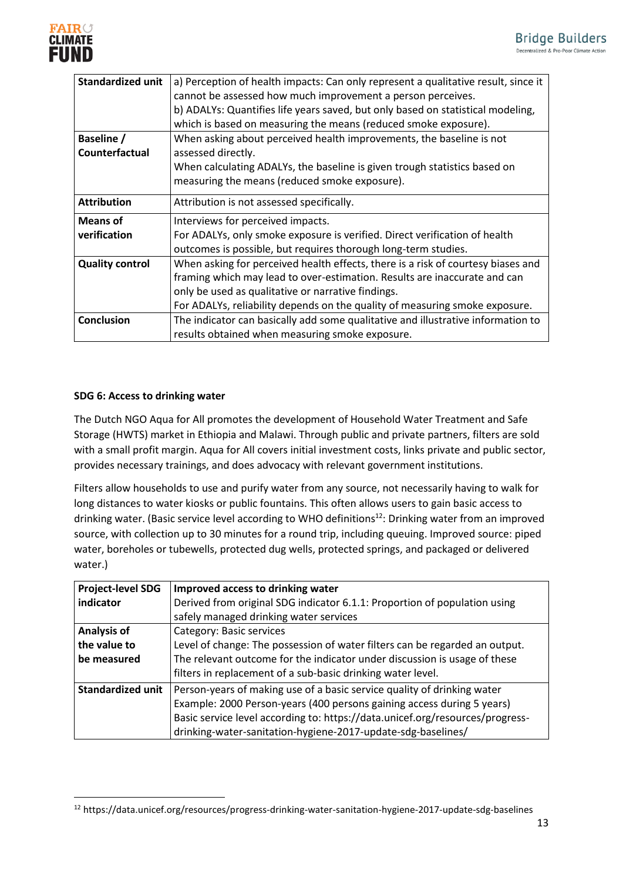

| <b>Standardized unit</b> | a) Perception of health impacts: Can only represent a qualitative result, since it |
|--------------------------|------------------------------------------------------------------------------------|
|                          | cannot be assessed how much improvement a person perceives.                        |
|                          | b) ADALYs: Quantifies life years saved, but only based on statistical modeling,    |
|                          | which is based on measuring the means (reduced smoke exposure).                    |
| <b>Baseline /</b>        | When asking about perceived health improvements, the baseline is not               |
| Counterfactual           | assessed directly.                                                                 |
|                          | When calculating ADALYs, the baseline is given trough statistics based on          |
|                          | measuring the means (reduced smoke exposure).                                      |
| <b>Attribution</b>       | Attribution is not assessed specifically.                                          |
| <b>Means of</b>          | Interviews for perceived impacts.                                                  |
| verification             | For ADALYs, only smoke exposure is verified. Direct verification of health         |
|                          | outcomes is possible, but requires thorough long-term studies.                     |
| <b>Quality control</b>   | When asking for perceived health effects, there is a risk of courtesy biases and   |
|                          | framing which may lead to over-estimation. Results are inaccurate and can          |
|                          | only be used as qualitative or narrative findings.                                 |
|                          | For ADALYs, reliability depends on the quality of measuring smoke exposure.        |
| <b>Conclusion</b>        | The indicator can basically add some qualitative and illustrative information to   |
|                          | results obtained when measuring smoke exposure.                                    |

#### **SDG 6: Access to drinking water**

The Dutch NGO Aqua for All promotes the development of Household Water Treatment and Safe Storage (HWTS) market in Ethiopia and Malawi. Through public and private partners, filters are sold with a small profit margin. Aqua for All covers initial investment costs, links private and public sector, provides necessary trainings, and does advocacy with relevant government institutions.

Filters allow households to use and purify water from any source, not necessarily having to walk for long distances to water kiosks or public fountains. This often allows users to gain basic access to drinking water. (Basic service level according to WHO definitions<sup>12</sup>: Drinking water from an improved source, with collection up to 30 minutes for a round trip, including queuing. Improved source: piped water, boreholes or tubewells, protected dug wells, protected springs, and packaged or delivered water.)

| <b>Project-level SDG</b> | Improved access to drinking water                                             |
|--------------------------|-------------------------------------------------------------------------------|
| indicator                | Derived from original SDG indicator 6.1.1: Proportion of population using     |
|                          | safely managed drinking water services                                        |
| <b>Analysis of</b>       | Category: Basic services                                                      |
| the value to             | Level of change: The possession of water filters can be regarded an output.   |
| be measured              | The relevant outcome for the indicator under discussion is usage of these     |
|                          | filters in replacement of a sub-basic drinking water level.                   |
| <b>Standardized unit</b> | Person-years of making use of a basic service quality of drinking water       |
|                          | Example: 2000 Person-years (400 persons gaining access during 5 years)        |
|                          | Basic service level according to: https://data.unicef.org/resources/progress- |
|                          | drinking-water-sanitation-hygiene-2017-update-sdg-baselines/                  |

<sup>12</sup> https://data.unicef.org/resources/progress-drinking-water-sanitation-hygiene-2017-update-sdg-baselines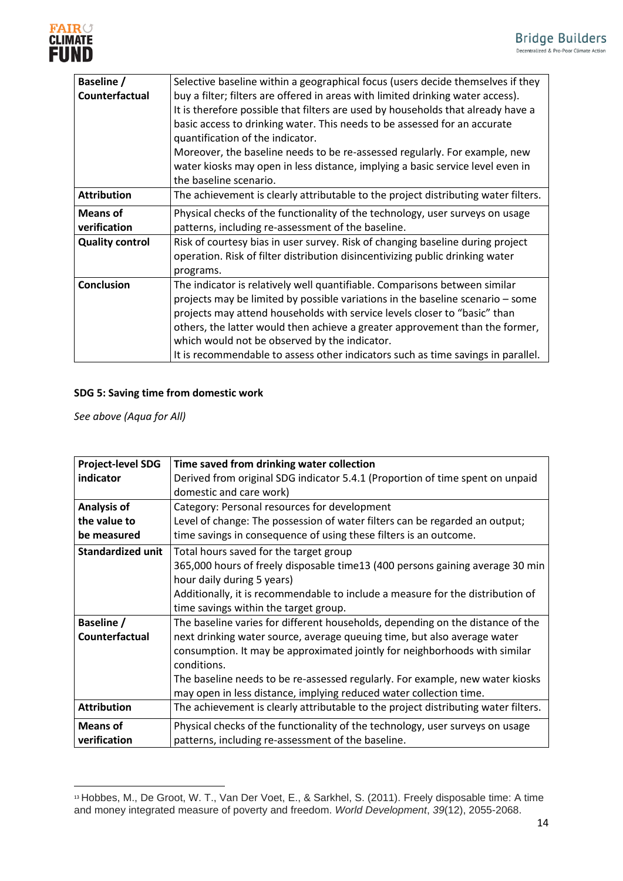

| <b>Baseline /</b>      | Selective baseline within a geographical focus (users decide themselves if they    |
|------------------------|------------------------------------------------------------------------------------|
| Counterfactual         | buy a filter; filters are offered in areas with limited drinking water access).    |
|                        | It is therefore possible that filters are used by households that already have a   |
|                        | basic access to drinking water. This needs to be assessed for an accurate          |
|                        | quantification of the indicator.                                                   |
|                        | Moreover, the baseline needs to be re-assessed regularly. For example, new         |
|                        | water kiosks may open in less distance, implying a basic service level even in     |
|                        | the baseline scenario.                                                             |
| <b>Attribution</b>     | The achievement is clearly attributable to the project distributing water filters. |
| <b>Means of</b>        | Physical checks of the functionality of the technology, user surveys on usage      |
| verification           | patterns, including re-assessment of the baseline.                                 |
| <b>Quality control</b> | Risk of courtesy bias in user survey. Risk of changing baseline during project     |
|                        | operation. Risk of filter distribution disincentivizing public drinking water      |
|                        | programs.                                                                          |
| Conclusion             | The indicator is relatively well quantifiable. Comparisons between similar         |
|                        | projects may be limited by possible variations in the baseline scenario – some     |
|                        | projects may attend households with service levels closer to "basic" than          |
|                        | others, the latter would then achieve a greater approvement than the former,       |
|                        | which would not be observed by the indicator.                                      |
|                        | It is recommendable to assess other indicators such as time savings in parallel.   |

## **SDG 5: Saving time from domestic work**

*See above (Aqua for All)*

| <b>Project-level SDG</b> | Time saved from drinking water collection                                          |
|--------------------------|------------------------------------------------------------------------------------|
| indicator                | Derived from original SDG indicator 5.4.1 (Proportion of time spent on unpaid      |
|                          | domestic and care work)                                                            |
| <b>Analysis of</b>       | Category: Personal resources for development                                       |
| the value to             | Level of change: The possession of water filters can be regarded an output;        |
| be measured              | time savings in consequence of using these filters is an outcome.                  |
| <b>Standardized unit</b> | Total hours saved for the target group                                             |
|                          | 365,000 hours of freely disposable time13 (400 persons gaining average 30 min      |
|                          | hour daily during 5 years)                                                         |
|                          | Additionally, it is recommendable to include a measure for the distribution of     |
|                          | time savings within the target group.                                              |
| Baseline /               | The baseline varies for different households, depending on the distance of the     |
| Counterfactual           | next drinking water source, average queuing time, but also average water           |
|                          | consumption. It may be approximated jointly for neighborhoods with similar         |
|                          | conditions.                                                                        |
|                          | The baseline needs to be re-assessed regularly. For example, new water kiosks      |
|                          | may open in less distance, implying reduced water collection time.                 |
| <b>Attribution</b>       | The achievement is clearly attributable to the project distributing water filters. |
| <b>Means of</b>          | Physical checks of the functionality of the technology, user surveys on usage      |
| verification             | patterns, including re-assessment of the baseline.                                 |

<sup>13</sup> Hobbes, M., De Groot, W. T., Van Der Voet, E., & Sarkhel, S. (2011). Freely disposable time: A time and money integrated measure of poverty and freedom. *World Development*, *39*(12), 2055-2068.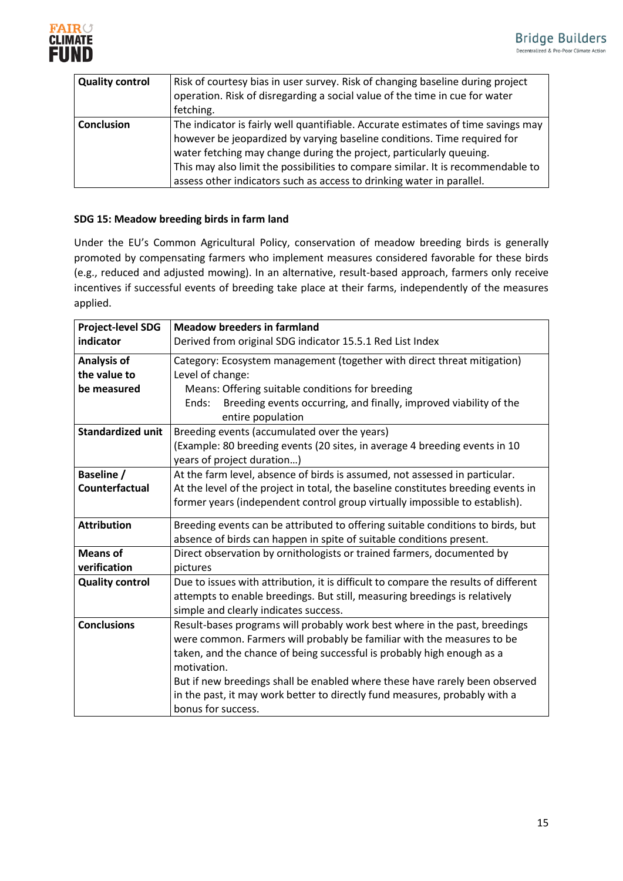

| <b>Quality control</b> | Risk of courtesy bias in user survey. Risk of changing baseline during project<br>operation. Risk of disregarding a social value of the time in cue for water<br>fetching.                                                                                                                                                                                                                        |
|------------------------|---------------------------------------------------------------------------------------------------------------------------------------------------------------------------------------------------------------------------------------------------------------------------------------------------------------------------------------------------------------------------------------------------|
| <b>Conclusion</b>      | The indicator is fairly well quantifiable. Accurate estimates of time savings may<br>however be jeopardized by varying baseline conditions. Time required for<br>water fetching may change during the project, particularly queuing.<br>This may also limit the possibilities to compare similar. It is recommendable to<br>assess other indicators such as access to drinking water in parallel. |

### **SDG 15: Meadow breeding birds in farm land**

Under the EU's Common Agricultural Policy, conservation of meadow breeding birds is generally promoted by compensating farmers who implement measures considered favorable for these birds (e.g., reduced and adjusted mowing). In an alternative, result-based approach, farmers only receive incentives if successful events of breeding take place at their farms, independently of the measures applied.

| <b>Project-level SDG</b> | <b>Meadow breeders in farmland</b>                                                              |  |  |
|--------------------------|-------------------------------------------------------------------------------------------------|--|--|
| indicator                | Derived from original SDG indicator 15.5.1 Red List Index                                       |  |  |
| <b>Analysis of</b>       | Category: Ecosystem management (together with direct threat mitigation)                         |  |  |
| the value to             | Level of change:                                                                                |  |  |
| be measured              | Means: Offering suitable conditions for breeding                                                |  |  |
|                          | Breeding events occurring, and finally, improved viability of the<br>Ends:<br>entire population |  |  |
| <b>Standardized unit</b> | Breeding events (accumulated over the years)                                                    |  |  |
|                          | (Example: 80 breeding events (20 sites, in average 4 breeding events in 10                      |  |  |
|                          | years of project duration)                                                                      |  |  |
| <b>Baseline /</b>        | At the farm level, absence of birds is assumed, not assessed in particular.                     |  |  |
| Counterfactual           | At the level of the project in total, the baseline constitutes breeding events in               |  |  |
|                          | former years (independent control group virtually impossible to establish).                     |  |  |
| <b>Attribution</b>       | Breeding events can be attributed to offering suitable conditions to birds, but                 |  |  |
|                          | absence of birds can happen in spite of suitable conditions present.                            |  |  |
| <b>Means of</b>          | Direct observation by ornithologists or trained farmers, documented by                          |  |  |
| verification             | pictures                                                                                        |  |  |
| <b>Quality control</b>   | Due to issues with attribution, it is difficult to compare the results of different             |  |  |
|                          | attempts to enable breedings. But still, measuring breedings is relatively                      |  |  |
|                          | simple and clearly indicates success.                                                           |  |  |
| <b>Conclusions</b>       | Result-bases programs will probably work best where in the past, breedings                      |  |  |
|                          | were common. Farmers will probably be familiar with the measures to be                          |  |  |
|                          | taken, and the chance of being successful is probably high enough as a<br>motivation.           |  |  |
|                          | But if new breedings shall be enabled where these have rarely been observed                     |  |  |
|                          | in the past, it may work better to directly fund measures, probably with a                      |  |  |
|                          | bonus for success.                                                                              |  |  |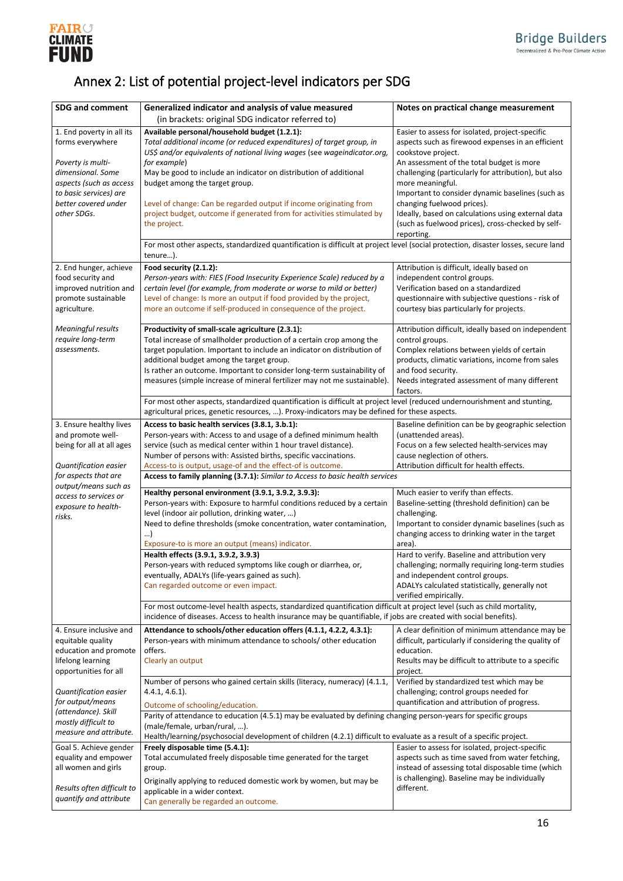

# <span id="page-15-0"></span>Annex 2: List of potential project-level indicators per SDG

| <b>SDG and comment</b>                                                | Generalized indicator and analysis of value measured                                                                                                | Notes on practical change measurement                                                                    |  |  |
|-----------------------------------------------------------------------|-----------------------------------------------------------------------------------------------------------------------------------------------------|----------------------------------------------------------------------------------------------------------|--|--|
|                                                                       | (in brackets: original SDG indicator referred to)                                                                                                   |                                                                                                          |  |  |
| 1. End poverty in all its                                             | Available personal/household budget (1.2.1):                                                                                                        | Easier to assess for isolated, project-specific                                                          |  |  |
| forms everywhere                                                      | Total additional income (or reduced expenditures) of target group, in<br>US\$ and/or equivalents of national living wages (see wageindicator.org,   | aspects such as firewood expenses in an efficient<br>cookstove project.                                  |  |  |
| Poverty is multi-                                                     | for example)                                                                                                                                        | An assessment of the total budget is more                                                                |  |  |
| dimensional. Some                                                     | May be good to include an indicator on distribution of additional                                                                                   | challenging (particularly for attribution), but also                                                     |  |  |
| aspects (such as access                                               | budget among the target group.                                                                                                                      | more meaningful.                                                                                         |  |  |
| to basic services) are<br>better covered under                        |                                                                                                                                                     | Important to consider dynamic baselines (such as                                                         |  |  |
| other SDGs.                                                           | Level of change: Can be regarded output if income originating from<br>project budget, outcome if generated from for activities stimulated by        | changing fuelwood prices).<br>Ideally, based on calculations using external data                         |  |  |
|                                                                       | the project.                                                                                                                                        | (such as fuelwood prices), cross-checked by self-                                                        |  |  |
|                                                                       |                                                                                                                                                     | reporting.                                                                                               |  |  |
|                                                                       | For most other aspects, standardized quantification is difficult at project level (social protection, disaster losses, secure land<br>tenure).      |                                                                                                          |  |  |
| 2. End hunger, achieve                                                | Food security (2.1.2):                                                                                                                              | Attribution is difficult, ideally based on                                                               |  |  |
| food security and                                                     | Person-years with: FIES (Food Insecurity Experience Scale) reduced by a                                                                             | independent control groups.                                                                              |  |  |
| improved nutrition and                                                | certain level (for example, from moderate or worse to mild or better)                                                                               | Verification based on a standardized                                                                     |  |  |
| promote sustainable                                                   | Level of change: Is more an output if food provided by the project,                                                                                 | questionnaire with subjective questions - risk of                                                        |  |  |
| agriculture.                                                          | more an outcome if self-produced in consequence of the project.                                                                                     | courtesy bias particularly for projects.                                                                 |  |  |
| <b>Meaningful results</b>                                             | Productivity of small-scale agriculture (2.3.1):                                                                                                    | Attribution difficult, ideally based on independent                                                      |  |  |
| require long-term                                                     | Total increase of smallholder production of a certain crop among the                                                                                | control groups.                                                                                          |  |  |
| assessments.                                                          | target population. Important to include an indicator on distribution of                                                                             | Complex relations between yields of certain                                                              |  |  |
|                                                                       | additional budget among the target group.                                                                                                           | products, climatic variations, income from sales                                                         |  |  |
|                                                                       | Is rather an outcome. Important to consider long-term sustainability of<br>measures (simple increase of mineral fertilizer may not me sustainable). | and food security.<br>Needs integrated assessment of many different                                      |  |  |
|                                                                       |                                                                                                                                                     | factors.                                                                                                 |  |  |
|                                                                       | For most other aspects, standardized quantification is difficult at project level (reduced undernourishment and stunting,                           |                                                                                                          |  |  |
|                                                                       | agricultural prices, genetic resources, ). Proxy-indicators may be defined for these aspects.                                                       |                                                                                                          |  |  |
| 3. Ensure healthy lives<br>and promote well-                          | Access to basic health services (3.8.1, 3.b.1):<br>Person-years with: Access to and usage of a defined minimum health                               | Baseline definition can be by geographic selection<br>(unattended areas).                                |  |  |
| being for all at all ages                                             | service (such as medical center within 1 hour travel distance).                                                                                     | Focus on a few selected health-services may                                                              |  |  |
|                                                                       | Number of persons with: Assisted births, specific vaccinations.                                                                                     | cause neglection of others.                                                                              |  |  |
| Quantification easier                                                 | Access-to is output, usage-of and the effect-of is outcome.                                                                                         | Attribution difficult for health effects.                                                                |  |  |
| for aspects that are<br>output/means such as                          | Access to family planning (3.7.1): Similar to Access to basic health services                                                                       |                                                                                                          |  |  |
| access to services or                                                 | Healthy personal environment (3.9.1, 3.9.2, 3.9.3):                                                                                                 | Much easier to verify than effects.                                                                      |  |  |
| exposure to health-                                                   | Person-years with: Exposure to harmful conditions reduced by a certain                                                                              | Baseline-setting (threshold definition) can be                                                           |  |  |
| risks.                                                                | level (indoor air pollution, drinking water, )<br>Need to define thresholds (smoke concentration, water contamination,                              | challenging.<br>Important to consider dynamic baselines (such as                                         |  |  |
|                                                                       | )                                                                                                                                                   | changing access to drinking water in the target                                                          |  |  |
|                                                                       | Exposure-to is more an output (means) indicator.                                                                                                    | area).                                                                                                   |  |  |
|                                                                       | Health effects (3.9.1, 3.9.2, 3.9.3)                                                                                                                | Hard to verify. Baseline and attribution very                                                            |  |  |
|                                                                       | Person-years with reduced symptoms like cough or diarrhea, or,<br>eventually, ADALYs (life-years gained as such).                                   | challenging; normally requiring long-term studies<br>and independent control groups.                     |  |  |
|                                                                       | Can regarded outcome or even impact.                                                                                                                | ADALYs calculated statistically, generally not                                                           |  |  |
|                                                                       |                                                                                                                                                     | verified empirically.                                                                                    |  |  |
|                                                                       | For most outcome-level health aspects, standardized quantification difficult at project level (such as child mortality,                             |                                                                                                          |  |  |
|                                                                       | incidence of diseases. Access to health insurance may be quantifiable, if jobs are created with social benefits).                                   |                                                                                                          |  |  |
| 4. Ensure inclusive and<br>equitable quality                          | Attendance to schools/other education offers (4.1.1, 4.2.2, 4.3.1):<br>Person-years with minimum attendance to schools/ other education             | A clear definition of minimum attendance may be<br>difficult, particularly if considering the quality of |  |  |
| education and promote                                                 | offers.                                                                                                                                             | education.                                                                                               |  |  |
| lifelong learning                                                     | Clearly an output                                                                                                                                   | Results may be difficult to attribute to a specific                                                      |  |  |
| opportunities for all                                                 |                                                                                                                                                     | project.                                                                                                 |  |  |
| Quantification easier                                                 | Number of persons who gained certain skills (literacy, numeracy) (4.1.1,<br>$4.4.1, 4.6.1$ ).                                                       | Verified by standardized test which may be<br>challenging; control groups needed for                     |  |  |
| for output/means                                                      | Outcome of schooling/education.                                                                                                                     | quantification and attribution of progress.                                                              |  |  |
| (attendance). Skill                                                   | Parity of attendance to education (4.5.1) may be evaluated by defining changing person-years for specific groups                                    |                                                                                                          |  |  |
| mostly difficult to                                                   | (male/female, urban/rural, ).                                                                                                                       |                                                                                                          |  |  |
| measure and attribute.                                                | Health/learning/psychosocial development of children (4.2.1) difficult to evaluate as a result of a specific project.                               |                                                                                                          |  |  |
| Goal 5. Achieve gender<br>equality and empower<br>all women and girls | Freely disposable time (5.4.1):                                                                                                                     | Easier to assess for isolated, project-specific                                                          |  |  |
|                                                                       | Total accumulated freely disposable time generated for the target<br>group.                                                                         | aspects such as time saved from water fetching,<br>instead of assessing total disposable time (which     |  |  |
|                                                                       | Originally applying to reduced domestic work by women, but may be                                                                                   | is challenging). Baseline may be individually                                                            |  |  |
| Results often difficult to<br>quantify and attribute                  | applicable in a wider context.                                                                                                                      | different.                                                                                               |  |  |
|                                                                       | Can generally be regarded an outcome.                                                                                                               |                                                                                                          |  |  |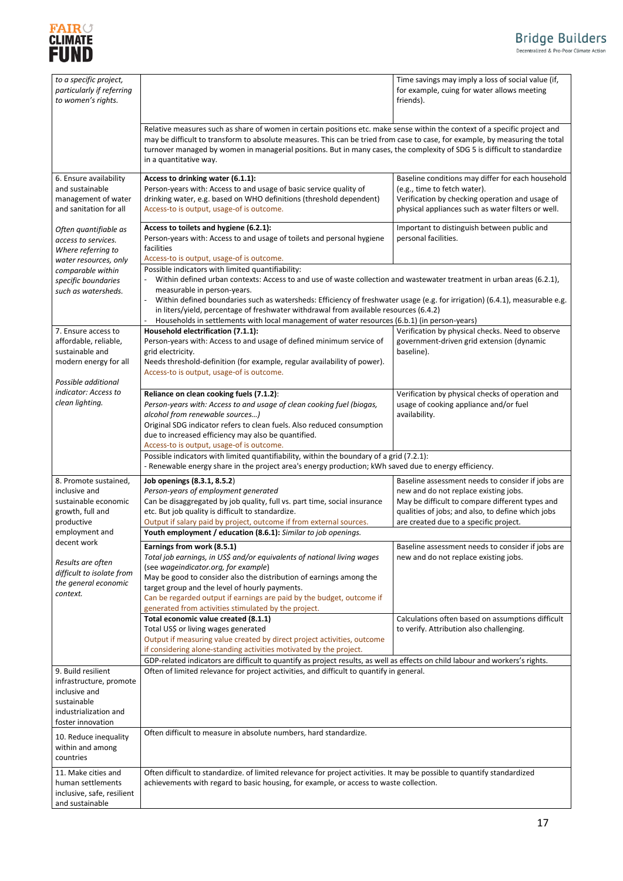

| to a specific project,<br>particularly if referring<br>to women's rights. |                                                                                                                                                                                                                                                                                                                                                                                                                   | Time savings may imply a loss of social value (if,<br>for example, cuing for water allows meeting<br>friends). |  |
|---------------------------------------------------------------------------|-------------------------------------------------------------------------------------------------------------------------------------------------------------------------------------------------------------------------------------------------------------------------------------------------------------------------------------------------------------------------------------------------------------------|----------------------------------------------------------------------------------------------------------------|--|
|                                                                           | Relative measures such as share of women in certain positions etc. make sense within the context of a specific project and<br>may be difficult to transform to absolute measures. This can be tried from case to case, for example, by measuring the total<br>turnover managed by women in managerial positions. But in many cases, the complexity of SDG 5 is difficult to standardize<br>in a quantitative way. |                                                                                                                |  |
| 6. Ensure availability                                                    | Access to drinking water (6.1.1):                                                                                                                                                                                                                                                                                                                                                                                 | Baseline conditions may differ for each household                                                              |  |
| and sustainable                                                           | Person-years with: Access to and usage of basic service quality of                                                                                                                                                                                                                                                                                                                                                | (e.g., time to fetch water).                                                                                   |  |
|                                                                           | drinking water, e.g. based on WHO definitions (threshold dependent)                                                                                                                                                                                                                                                                                                                                               | Verification by checking operation and usage of                                                                |  |
| management of water<br>and sanitation for all                             | Access-to is output, usage-of is outcome.                                                                                                                                                                                                                                                                                                                                                                         | physical appliances such as water filters or well.                                                             |  |
| Often quantifiable as                                                     | Access to toilets and hygiene (6.2.1):                                                                                                                                                                                                                                                                                                                                                                            | Important to distinguish between public and                                                                    |  |
| access to services.                                                       | Person-years with: Access to and usage of toilets and personal hygiene                                                                                                                                                                                                                                                                                                                                            | personal facilities.                                                                                           |  |
| Where referring to                                                        | facilities                                                                                                                                                                                                                                                                                                                                                                                                        |                                                                                                                |  |
| water resources, only                                                     | Access-to is output, usage-of is outcome.                                                                                                                                                                                                                                                                                                                                                                         |                                                                                                                |  |
|                                                                           | Possible indicators with limited quantifiability:                                                                                                                                                                                                                                                                                                                                                                 |                                                                                                                |  |
| comparable within                                                         |                                                                                                                                                                                                                                                                                                                                                                                                                   |                                                                                                                |  |
| specific boundaries                                                       | Within defined urban contexts: Access to and use of waste collection and wastewater treatment in urban areas (6.2.1),                                                                                                                                                                                                                                                                                             |                                                                                                                |  |
| such as watersheds.                                                       | measurable in person-years.                                                                                                                                                                                                                                                                                                                                                                                       |                                                                                                                |  |
|                                                                           | Within defined boundaries such as watersheds: Efficiency of freshwater usage (e.g. for irrigation) (6.4.1), measurable e.g.                                                                                                                                                                                                                                                                                       |                                                                                                                |  |
|                                                                           | in liters/yield, percentage of freshwater withdrawal from available resources (6.4.2)                                                                                                                                                                                                                                                                                                                             |                                                                                                                |  |
|                                                                           | Households in settlements with local management of water resources (6.b.1) (in person-years)                                                                                                                                                                                                                                                                                                                      |                                                                                                                |  |
| 7. Ensure access to                                                       | Household electrification (7.1.1):                                                                                                                                                                                                                                                                                                                                                                                | Verification by physical checks. Need to observe                                                               |  |
| affordable, reliable,                                                     | Person-years with: Access to and usage of defined minimum service of                                                                                                                                                                                                                                                                                                                                              | government-driven grid extension (dynamic                                                                      |  |
| sustainable and                                                           | grid electricity.                                                                                                                                                                                                                                                                                                                                                                                                 | baseline).                                                                                                     |  |
| modern energy for all                                                     | Needs threshold-definition (for example, regular availability of power).                                                                                                                                                                                                                                                                                                                                          |                                                                                                                |  |
|                                                                           | Access-to is output, usage-of is outcome.                                                                                                                                                                                                                                                                                                                                                                         |                                                                                                                |  |
| Possible additional                                                       |                                                                                                                                                                                                                                                                                                                                                                                                                   |                                                                                                                |  |
| indicator: Access to                                                      | Reliance on clean cooking fuels (7.1.2):                                                                                                                                                                                                                                                                                                                                                                          | Verification by physical checks of operation and                                                               |  |
| clean lighting.                                                           | Person-years with: Access to and usage of clean cooking fuel (biogas,                                                                                                                                                                                                                                                                                                                                             | usage of cooking appliance and/or fuel                                                                         |  |
|                                                                           | alcohol from renewable sources)                                                                                                                                                                                                                                                                                                                                                                                   | availability.                                                                                                  |  |
|                                                                           | Original SDG indicator refers to clean fuels. Also reduced consumption                                                                                                                                                                                                                                                                                                                                            |                                                                                                                |  |
|                                                                           | due to increased efficiency may also be quantified.                                                                                                                                                                                                                                                                                                                                                               |                                                                                                                |  |
|                                                                           | Access-to is output, usage-of is outcome.                                                                                                                                                                                                                                                                                                                                                                         |                                                                                                                |  |
|                                                                           | Possible indicators with limited quantifiability, within the boundary of a grid (7.2.1):                                                                                                                                                                                                                                                                                                                          |                                                                                                                |  |
|                                                                           | - Renewable energy share in the project area's energy production; kWh saved due to energy efficiency.                                                                                                                                                                                                                                                                                                             |                                                                                                                |  |
|                                                                           |                                                                                                                                                                                                                                                                                                                                                                                                                   |                                                                                                                |  |
| 8. Promote sustained,                                                     | Job openings (8.3.1, 8.5.2)                                                                                                                                                                                                                                                                                                                                                                                       | Baseline assessment needs to consider if jobs are                                                              |  |
| inclusive and                                                             | Person-years of employment generated                                                                                                                                                                                                                                                                                                                                                                              | new and do not replace existing jobs.                                                                          |  |
| sustainable economic                                                      | Can be disaggregated by job quality, full vs. part time, social insurance                                                                                                                                                                                                                                                                                                                                         | May be difficult to compare different types and                                                                |  |
| growth, full and                                                          | etc. But job quality is difficult to standardize.                                                                                                                                                                                                                                                                                                                                                                 | qualities of jobs; and also, to define which jobs                                                              |  |
| productive                                                                | Output if salary paid by project, outcome if from external sources.                                                                                                                                                                                                                                                                                                                                               | are created due to a specific project.                                                                         |  |
| employment and                                                            | Youth employment / education (8.6.1): Similar to job openings.                                                                                                                                                                                                                                                                                                                                                    |                                                                                                                |  |
| decent work                                                               | Earnings from work (8.5.1)                                                                                                                                                                                                                                                                                                                                                                                        | Baseline assessment needs to consider if jobs are                                                              |  |
|                                                                           | Total job earnings, in US\$ and/or equivalents of national living wages                                                                                                                                                                                                                                                                                                                                           | new and do not replace existing jobs.                                                                          |  |
| Results are often                                                         | (see wageindicator.org, for example)                                                                                                                                                                                                                                                                                                                                                                              |                                                                                                                |  |
| difficult to isolate from                                                 | May be good to consider also the distribution of earnings among the                                                                                                                                                                                                                                                                                                                                               |                                                                                                                |  |
| the general economic                                                      | target group and the level of hourly payments.                                                                                                                                                                                                                                                                                                                                                                    |                                                                                                                |  |
| context.                                                                  | Can be regarded output if earnings are paid by the budget, outcome if                                                                                                                                                                                                                                                                                                                                             |                                                                                                                |  |
|                                                                           | generated from activities stimulated by the project.                                                                                                                                                                                                                                                                                                                                                              |                                                                                                                |  |
|                                                                           |                                                                                                                                                                                                                                                                                                                                                                                                                   |                                                                                                                |  |
|                                                                           |                                                                                                                                                                                                                                                                                                                                                                                                                   |                                                                                                                |  |
|                                                                           | Total economic value created (8.1.1)                                                                                                                                                                                                                                                                                                                                                                              | Calculations often based on assumptions difficult                                                              |  |
|                                                                           | Total US\$ or living wages generated                                                                                                                                                                                                                                                                                                                                                                              | to verify. Attribution also challenging.                                                                       |  |
|                                                                           | Output if measuring value created by direct project activities, outcome                                                                                                                                                                                                                                                                                                                                           |                                                                                                                |  |
|                                                                           | if considering alone-standing activities motivated by the project.                                                                                                                                                                                                                                                                                                                                                |                                                                                                                |  |
|                                                                           | GDP-related indicators are difficult to quantify as project results, as well as effects on child labour and workers's rights.                                                                                                                                                                                                                                                                                     |                                                                                                                |  |
| 9. Build resilient                                                        | Often of limited relevance for project activities, and difficult to quantify in general.                                                                                                                                                                                                                                                                                                                          |                                                                                                                |  |
| infrastructure, promote                                                   |                                                                                                                                                                                                                                                                                                                                                                                                                   |                                                                                                                |  |
| inclusive and                                                             |                                                                                                                                                                                                                                                                                                                                                                                                                   |                                                                                                                |  |
| sustainable                                                               |                                                                                                                                                                                                                                                                                                                                                                                                                   |                                                                                                                |  |
| industrialization and                                                     |                                                                                                                                                                                                                                                                                                                                                                                                                   |                                                                                                                |  |
| foster innovation                                                         |                                                                                                                                                                                                                                                                                                                                                                                                                   |                                                                                                                |  |
|                                                                           | Often difficult to measure in absolute numbers, hard standardize.                                                                                                                                                                                                                                                                                                                                                 |                                                                                                                |  |
| 10. Reduce inequality                                                     |                                                                                                                                                                                                                                                                                                                                                                                                                   |                                                                                                                |  |
| within and among                                                          |                                                                                                                                                                                                                                                                                                                                                                                                                   |                                                                                                                |  |
| countries                                                                 |                                                                                                                                                                                                                                                                                                                                                                                                                   |                                                                                                                |  |
| 11. Make cities and                                                       | Often difficult to standardize. of limited relevance for project activities. It may be possible to quantify standardized                                                                                                                                                                                                                                                                                          |                                                                                                                |  |
| human settlements                                                         | achievements with regard to basic housing, for example, or access to waste collection.                                                                                                                                                                                                                                                                                                                            |                                                                                                                |  |
| inclusive, safe, resilient<br>and sustainable                             |                                                                                                                                                                                                                                                                                                                                                                                                                   |                                                                                                                |  |